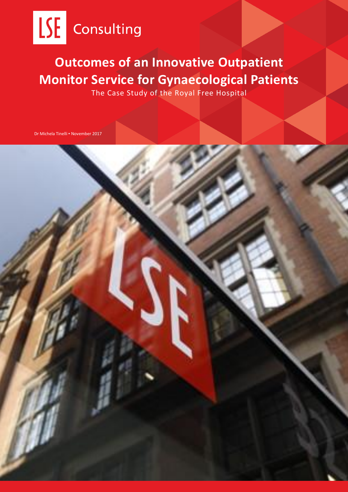

# **Outcomes of an Innovative Outpatient Monitor Service for Gynaecological Patients**

The Case Study of the Royal Free Hospital

Dr Michela Tinelli ▪ November 2017

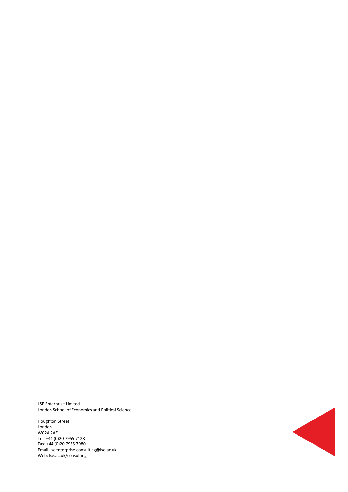LSE Enterprise Limited London School of Economics and Political Science

Houghton Street London WC2A 2AE Tel: +44 (0)20 7955 7128 Fax: +44 (0)20 7955 7980 Email: lseenterprise.consulting@lse.ac.uk Web: lse.ac.uk/consulting

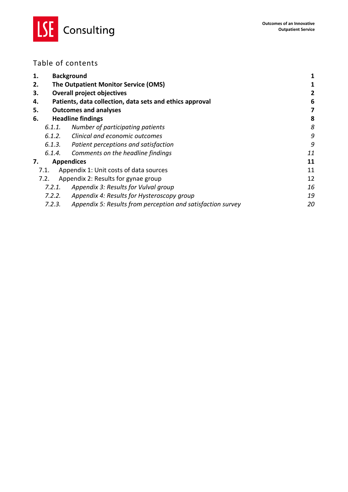

### Table of contents

| 1.     | <b>Background</b>                                           | 1  |
|--------|-------------------------------------------------------------|----|
| 2.     | The Outpatient Monitor Service (OMS)                        | 1  |
| 3.     | <b>Overall project objectives</b>                           | 2  |
| 4.     | Patients, data collection, data sets and ethics approval    | 6  |
| 5.     | <b>Outcomes and analyses</b>                                | 7  |
| 6.     | <b>Headline findings</b>                                    | 8  |
| 6.1.1. | Number of participating patients                            | 8  |
| 6.1.2. | Clinical and economic outcomes                              | 9  |
| 6.1.3. | Patient perceptions and satisfaction                        | 9  |
| 6.1.4. | Comments on the headline findings                           | 11 |
| 7.     | <b>Appendices</b>                                           | 11 |
| 7.1.   | Appendix 1: Unit costs of data sources                      | 11 |
| 7.2.   | Appendix 2: Results for gynae group                         | 12 |
| 7.2.1. | Appendix 3: Results for Vulval group                        | 16 |
| 7.2.2. | Appendix 4: Results for Hysteroscopy group                  | 19 |
| 7.2.3. | Appendix 5: Results from perception and satisfaction survey | 20 |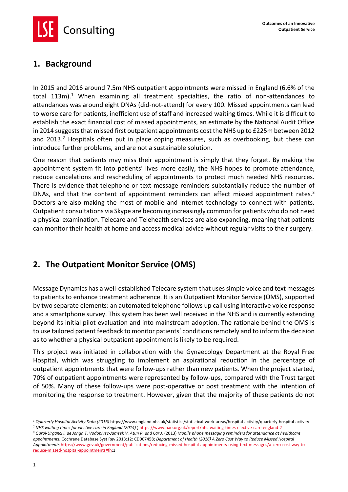Consulting

### <span id="page-3-0"></span>**1. Background**

In 2015 and 2016 around 7.5m NHS outpatient appointments were missed in England (6.6% of the total  $113m$ ).<sup>1</sup> When examining all treatment specialties, the ratio of non-attendances to attendances was around eight DNAs (did-not-attend) for every 100. Missed appointments can lead to worse care for patients, inefficient use of staff and increased waiting times. While it is difficult to establish the exact financial cost of missed appointments, an estimate by the National Audit Office in 2014 suggests that missed first outpatient appointments cost the NHS up to £225m between 2012 and 2013.<sup>2</sup> Hospitals often put in place coping measures, such as overbooking, but these can introduce further problems, and are not a sustainable solution.

One reason that patients may miss their appointment is simply that they forget. By making the appointment system fit into patients' lives more easily, the NHS hopes to promote attendance, reduce cancelations and rescheduling of appointments to protect much needed NHS resources. There is evidence that telephone or text message reminders substantially reduce the number of DNAs, and that the content of appointment reminders can affect missed appointment rates.<sup>3</sup> Doctors are also making the most of mobile and internet technology to connect with patients. Outpatient consultations via Skype are becoming increasingly common for patients who do not need a physical examination. Telecare and Telehealth services are also expanding, meaning that patients can monitor their health at home and access medical advice without regular visits to their surgery.

### <span id="page-3-1"></span>**2. The Outpatient Monitor Service (OMS)**

Message Dynamics has a well-established Telecare system that uses simple voice and text messages to patients to enhance treatment adherence. It is an Outpatient Monitor Service (OMS), supported by two separate elements: an automated telephone follows up call using interactive voice response and a smartphone survey. This system has been well received in the NHS and is currently extending beyond its initial pilot evaluation and into mainstream adoption. The rationale behind the OMS is to use tailored patient feedback to monitor patients' conditions remotely and to inform the decision as to whether a physical outpatient appointment is likely to be required.

This project was initiated in collaboration with the Gynaecology Department at the Royal Free Hospital, which was struggling to implement an aspirational reduction in the percentage of outpatient appointments that were follow-ups rather than new patients. When the project started, 70% of outpatient appointments were represented by follow-ups, compared with the Trust target of 50%. Many of these follow-ups were post-operative or post treatment with the intention of monitoring the response to treatment. However, given that the majority of these patients do not

1

*<sup>1</sup> Quarterly Hospital Activity Data (2016)* https://www.england.nhs.uk/statistics/statistical-work-areas/hospital-activity/quarterly-hospital-activity *<sup>2</sup> NHS waiting times for elective care in England (2014)* )<https://www.nao.org.uk/report/nhs-waiting-times-elective-care-england-2>

*<sup>3</sup> Gurol-Urganci I, de Jongh T, Vodopivec-Jamsek V, Atun R, and Car J.* (2013) *Mobile phone messaging reminders for attendance at healthcare appointments.* Cochrane Database Syst Rev 2013:12: CD007458; *Department of Health (2016) A Zero Cost Way to Reduce Missed Hospital Appointments* [https://www.gov.uk/government/publications/reducing-missed-hospital-appointments-using-text-messages/a-zero-cost-way-to](https://www.gov.uk/government/publications/reducing-missed-hospital-appointments-using-text-messages/a-zero-cost-way-to-reduce-missed-hospital-appointments#fn)[reduce-missed-hospital-appointments#fn:1](https://www.gov.uk/government/publications/reducing-missed-hospital-appointments-using-text-messages/a-zero-cost-way-to-reduce-missed-hospital-appointments#fn)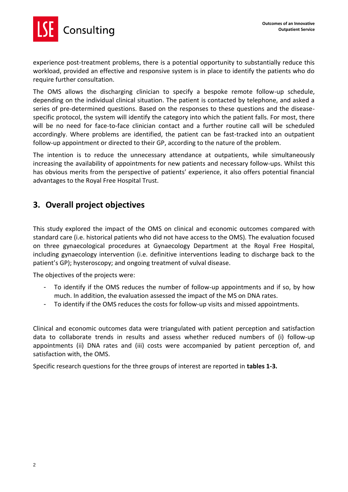

experience post-treatment problems, there is a potential opportunity to substantially reduce this workload, provided an effective and responsive system is in place to identify the patients who do require further consultation.

The OMS allows the discharging clinician to specify a bespoke remote follow-up schedule, depending on the individual clinical situation. The patient is contacted by telephone, and asked a series of pre-determined questions. Based on the responses to these questions and the diseasespecific protocol, the system will identify the category into which the patient falls. For most, there will be no need for face-to-face clinician contact and a further routine call will be scheduled accordingly. Where problems are identified, the patient can be fast-tracked into an outpatient follow-up appointment or directed to their GP, according to the nature of the problem.

The intention is to reduce the unnecessary attendance at outpatients, while simultaneously increasing the availability of appointments for new patients and necessary follow-ups. Whilst this has obvious merits from the perspective of patients' experience, it also offers potential financial advantages to the Royal Free Hospital Trust.

### <span id="page-4-0"></span>**3. Overall project objectives**

This study explored the impact of the OMS on clinical and economic outcomes compared with standard care (i.e. historical patients who did not have access to the OMS). The evaluation focused on three gynaecological procedures at Gynaecology Department at the Royal Free Hospital, including gynaecology intervention (i.e. definitive interventions leading to discharge back to the patient's GP); hysteroscopy; and ongoing treatment of vulval disease.

The objectives of the projects were:

- To identify if the OMS reduces the number of follow-up appointments and if so, by how much. In addition, the evaluation assessed the impact of the MS on DNA rates.
- To identify if the OMS reduces the costs for follow-up visits and missed appointments.

Clinical and economic outcomes data were triangulated with patient perception and satisfaction data to collaborate trends in results and assess whether reduced numbers of (i) follow-up appointments (ii) DNA rates and (iii) costs were accompanied by patient perception of, and satisfaction with, the OMS.

Specific research questions for the three groups of interest are reported in **tables 1-3.**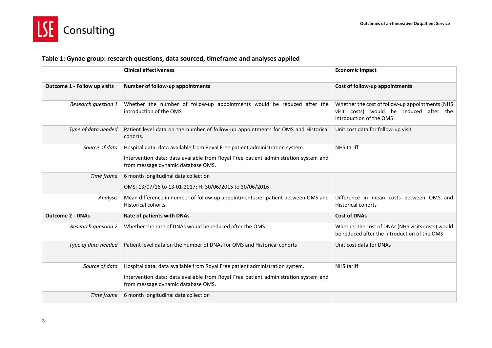

### **Table 1: Gynae group: research questions, data sourced, timeframe and analyses applied**

|                              | <b>Clinical effectiveness</b>                                                                                                                                                                             | <b>Economic impact</b>                                                                                                |
|------------------------------|-----------------------------------------------------------------------------------------------------------------------------------------------------------------------------------------------------------|-----------------------------------------------------------------------------------------------------------------------|
| Outcome 1 - Follow up visits | Number of follow-up appointments                                                                                                                                                                          | Cost of follow-up appointments                                                                                        |
| Research question 1          | Whether the number of follow-up appointments would be reduced after the<br>introduction of the OMS                                                                                                        | Whether the cost of follow-up appointments (NHS<br>visit costs) would be reduced after the<br>introduction of the OMS |
| Type of data needed          | Patient level data on the number of follow-up appointments for OMS and Historical<br>cohorts.                                                                                                             | Unit cost data for follow-up visit                                                                                    |
| Source of data               | Hospital data: data available from Royal Free patient administration system.<br>Intervention data: data available from Royal Free patient administration system and<br>from message dynamic database OMS. | <b>NHS</b> tariff                                                                                                     |
| Time frame                   | 6 month longitudinal data collection<br>OMS: 13/07/16 to 13-01-2017; H: 30/06/2015 to 30/06/2016                                                                                                          |                                                                                                                       |
| Analysis                     | Mean difference in number of follow-up appointments per patient between OMS and<br><b>Historical cohorts</b>                                                                                              | Difference in mean costs between OMS and<br><b>Historical cohorts</b>                                                 |
| <b>Outcome 2 - DNAs</b>      | Rate of patients with DNAs                                                                                                                                                                                | <b>Cost of DNAs</b>                                                                                                   |
| Research question 2          | Whether the rate of DNAs would be reduced after the OMS                                                                                                                                                   | Whether the cost of DNAs (NHS visits costs) would<br>be reduced after the introduction of the OMS                     |
| Type of data needed          | Patient level data on the number of DNAs for OMS and Historical cohorts                                                                                                                                   | Unit cost data for DNAs                                                                                               |
| Source of data               | Hospital data: data available from Royal Free patient administration system.<br>Intervention data: data available from Royal Free patient administration system and<br>from message dynamic database OMS. | <b>NHS</b> tariff                                                                                                     |
| Time frame                   | 6 month longitudinal data collection                                                                                                                                                                      |                                                                                                                       |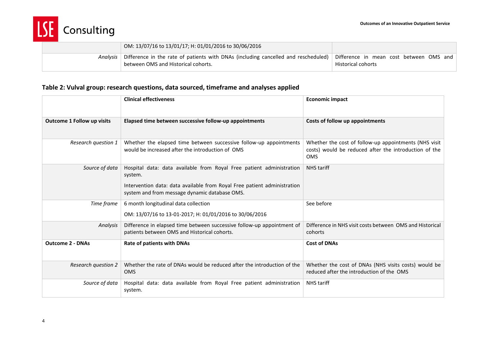

|          | OM: 13/07/16 to 13/01/17; H: 01/01/2016 to 30/06/2016                                                                                                                                  |                    |
|----------|----------------------------------------------------------------------------------------------------------------------------------------------------------------------------------------|--------------------|
| Analysis | $\mid$ Difference in the rate of patients with DNAs (including cancelled and rescheduled) $\mid$ Difference in mean cost between OMS and $\mid$<br>between OMS and Historical cohorts. | Historical cohorts |

### **Table 2: Vulval group: research questions, data sourced, timeframe and analyses applied**

|                                   | <b>Clinical effectiveness</b>                                                                                                                                                                                | <b>Economic impact</b>                                                                                                       |
|-----------------------------------|--------------------------------------------------------------------------------------------------------------------------------------------------------------------------------------------------------------|------------------------------------------------------------------------------------------------------------------------------|
| <b>Outcome 1 Follow up visits</b> | Elapsed time between successive follow-up appointments                                                                                                                                                       | Costs of follow up appointments                                                                                              |
| Research question 1               | Whether the elapsed time between successive follow-up appointments<br>would be increased after the introduction of OMS                                                                                       | Whether the cost of follow-up appointments (NHS visit<br>costs) would be reduced after the introduction of the<br><b>OMS</b> |
| Source of data                    | Hospital data: data available from Royal Free patient administration<br>system.<br>Intervention data: data available from Royal Free patient administration<br>system and from message dynamic database OMS. | <b>NHS</b> tariff                                                                                                            |
| Time frame                        | 6 month longitudinal data collection<br>OM: 13/07/16 to 13-01-2017; H: 01/01/2016 to 30/06/2016                                                                                                              | See before                                                                                                                   |
| Analysis                          | Difference in elapsed time between successive follow-up appointment of<br>patients between OMS and Historical cohorts.                                                                                       | Difference in NHS visit costs between OMS and Historical<br>cohorts                                                          |
| <b>Outcome 2 - DNAs</b>           | Rate of patients with DNAs                                                                                                                                                                                   | <b>Cost of DNAs</b>                                                                                                          |
| <b>Research question 2</b>        | Whether the rate of DNAs would be reduced after the introduction of the<br><b>OMS</b>                                                                                                                        | Whether the cost of DNAs (NHS visits costs) would be<br>reduced after the introduction of the OMS                            |
| Source of data                    | Hospital data: data available from Royal Free patient administration<br>system.                                                                                                                              | <b>NHS</b> tariff                                                                                                            |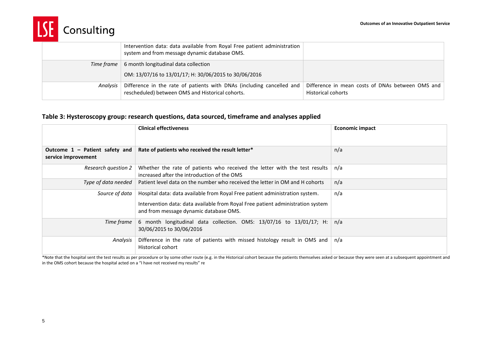

|            | Intervention data: data available from Royal Free patient administration<br>system and from message dynamic database OMS. |                                                                               |
|------------|---------------------------------------------------------------------------------------------------------------------------|-------------------------------------------------------------------------------|
| Time frame | 6 month longitudinal data collection                                                                                      |                                                                               |
|            | OM: 13/07/16 to 13/01/17; H: 30/06/2015 to 30/06/2016                                                                     |                                                                               |
| Analysis   | Difference in the rate of patients with DNAs (including cancelled and<br>rescheduled) between OMS and Historical cohorts. | Difference in mean costs of DNAs between OMS and<br><b>Historical cohorts</b> |

#### **Table 3: Hysteroscopy group: research questions, data sourced, timeframe and analyses applied**

|                                                         | <b>Clinical effectiveness</b>                                                                                                                                                                             | <b>Economic impact</b> |
|---------------------------------------------------------|-----------------------------------------------------------------------------------------------------------------------------------------------------------------------------------------------------------|------------------------|
| Outcome $1$ – Patient safety and<br>service improvement | Rate of patients who received the result letter*                                                                                                                                                          | n/a                    |
| Research question 2                                     | Whether the rate of patients who received the letter with the test results<br>increased after the introduction of the OMS                                                                                 | n/a                    |
| Type of data needed                                     | Patient level data on the number who received the letter in OM and H cohorts                                                                                                                              | n/a                    |
| Source of data                                          | Hospital data: data available from Royal Free patient administration system.<br>Intervention data: data available from Royal Free patient administration system<br>and from message dynamic database OMS. | n/a                    |
| Time frame                                              | 6 month longitudinal data collection. OMS: 13/07/16 to 13/01/17; H:<br>30/06/2015 to 30/06/2016                                                                                                           | n/a                    |
| Analysis                                                | Difference in the rate of patients with missed histology result in OMS and<br><b>Historical cohort</b>                                                                                                    | n/a                    |

\*Note that the hospital sent the test results as per procedure or by some other route (e.g. in the Historical cohort because the patients themselves asked or because they were seen at a subsequent appointment and in the OMS cohort because the hospital acted on a "I have not received my results" re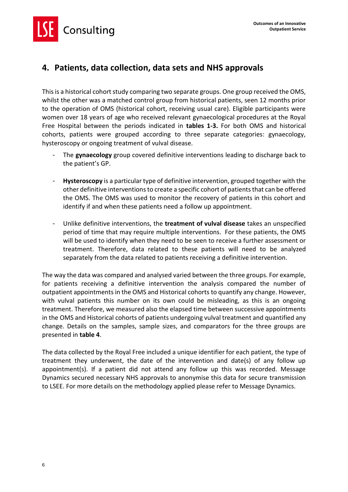Consulting

### <span id="page-8-0"></span>**4. Patients, data collection, data sets and NHS approvals**

This is a historical cohort study comparing two separate groups. One group received the OMS, whilst the other was a matched control group from historical patients, seen 12 months prior to the operation of OMS (historical cohort, receiving usual care). Eligible participants were women over 18 years of age who received relevant gynaecological procedures at the Royal Free Hospital between the periods indicated in **tables 1-3.** For both OMS and historical cohorts, patients were grouped according to three separate categories: gynaecology, hysteroscopy or ongoing treatment of vulval disease.

- The **gynaecology** group covered definitive interventions leading to discharge back to the patient's GP.
- **Hysteroscopy** is a particular type of definitive intervention, grouped together with the other definitive interventions to create a specific cohort of patients that can be offered the OMS. The OMS was used to monitor the recovery of patients in this cohort and identify if and when these patients need a follow up appointment.
- Unlike definitive interventions, the **treatment of vulval disease** takes an unspecified period of time that may require multiple interventions. For these patients, the OMS will be used to identify when they need to be seen to receive a further assessment or treatment. Therefore, data related to these patients will need to be analyzed separately from the data related to patients receiving a definitive intervention.

The way the data was compared and analysed varied between the three groups. For example, for patients receiving a definitive intervention the analysis compared the number of outpatient appointments in the OMS and Historical cohorts to quantify any change. However, with vulval patients this number on its own could be misleading, as this is an ongoing treatment. Therefore, we measured also the elapsed time between successive appointments in the OMS and Historical cohorts of patients undergoing vulval treatment and quantified any change. Details on the samples, sample sizes, and comparators for the three groups are presented in **table 4**.

The data collected by the Royal Free included a unique identifier for each patient, the type of treatment they underwent, the date of the intervention and date(s) of any follow up appointment(s). If a patient did not attend any follow up this was recorded. Message Dynamics secured necessary NHS approvals to anonymise this data for secure transmission to LSEE. For more details on the methodology applied please refer to Message Dynamics.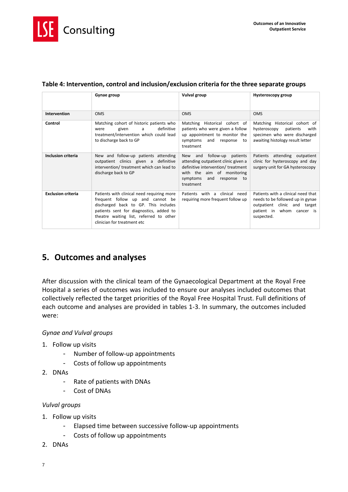

|                           | Gynae group                                                                                                                                                                                                                                 | <b>Vulval group</b>                                                                                                                                                                        | Hysteroscopy group                                                                                                                                |
|---------------------------|---------------------------------------------------------------------------------------------------------------------------------------------------------------------------------------------------------------------------------------------|--------------------------------------------------------------------------------------------------------------------------------------------------------------------------------------------|---------------------------------------------------------------------------------------------------------------------------------------------------|
| Intervention              | <b>OMS</b>                                                                                                                                                                                                                                  | <b>OMS</b>                                                                                                                                                                                 | <b>OMS</b>                                                                                                                                        |
| Control                   | Matching cohort of historic patients who<br>definitive<br>a<br>were<br>given<br>treatment/intervention which could lead<br>to discharge back to GP                                                                                          | Matching Historical cohort of<br>patients who were given a follow<br>up appointment to monitor the<br>and<br>symptoms<br>response<br>to<br>treatment                                       | Matching Historical cohort of<br>hysteroscopy<br>patients<br>with<br>specimen who were discharged<br>awaiting histology result letter             |
| <b>Inclusion criteria</b> | New and follow-up patients attending<br>outpatient clinics given a definitive<br>intervention/treatment which can lead to<br>discharge back to GP                                                                                           | follow-up patients<br>New and<br>attending outpatient clinic given a<br>definitive intervention/ treatment<br>with the aim of monitoring<br>and<br>symptoms<br>response<br>to<br>treatment | Patients attending outpatient<br>clinic for hysteroscopy and day<br>surgery unit for GA hysteroscopy                                              |
| <b>Exclusion criteria</b> | Patients with clinical need requiring more<br>frequent follow up and cannot be<br>discharged back to GP. This includes<br>patients sent for diagnostics, added to<br>theatre waiting list, referred to other<br>clinician for treatment etc | Patients with a clinical need<br>requiring more frequent follow up                                                                                                                         | Patients with a clinical need that<br>needs to be followed up in gynae<br>outpatient clinic and target<br>patient in whom cancer is<br>suspected. |

### **Table 4: Intervention, control and inclusion/exclusion criteria for the three separate groups**

### <span id="page-9-0"></span>**5. Outcomes and analyses**

After discussion with the clinical team of the Gynaecological Department at the Royal Free Hospital a series of outcomes was included to ensure our analyses included outcomes that collectively reflected the target priorities of the Royal Free Hospital Trust. Full definitions of each outcome and analyses are provided in tables 1-3. In summary, the outcomes included were:

### *Gynae and Vulval groups*

- 1. Follow up visits
	- Number of follow-up appointments
	- Costs of follow up appointments
- 2. DNAs
	- Rate of patients with DNAs
	- Cost of DNAs

#### *Vulval groups*

- 1. Follow up visits
	- Elapsed time between successive follow-up appointments
	- Costs of follow up appointments
- 2. DNAs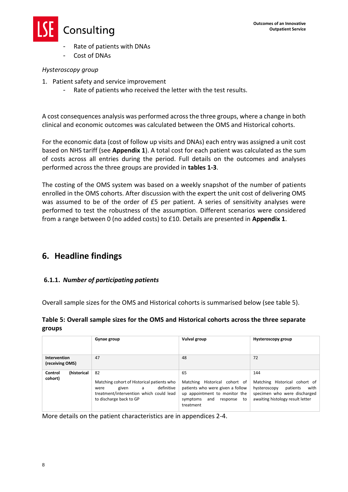

- Rate of patients with DNAs
- Cost of DNAs

### *Hysteroscopy group*

- 1. Patient safety and service improvement
	- Rate of patients who received the letter with the test results.

A cost consequences analysis was performed across the three groups, where a change in both clinical and economic outcomes was calculated between the OMS and Historical cohorts.

For the economic data (cost of follow up visits and DNAs) each entry was assigned a unit cost based on NHS tariff (see **Appendix 1**). A total cost for each patient was calculated as the sum of costs across all entries during the period. Full details on the outcomes and analyses performed across the three groups are provided in **tables 1-3**.

The costing of the OMS system was based on a weekly snapshot of the number of patients enrolled in the OMS cohorts. After discussion with the expert the unit cost of delivering OMS was assumed to be of the order of £5 per patient. A series of sensitivity analyses were performed to test the robustness of the assumption. Different scenarios were considered from a range between 0 (no added costs) to £10. Details are presented in **Appendix 1**.

### <span id="page-10-0"></span>**6. Headline findings**

### <span id="page-10-1"></span>**6.1.1.** *Number of participating patients*

Overall sample sizes for the OMS and Historical cohorts is summarised below (see table 5).

### **Table 5: Overall sample sizes for the OMS and Historical cohorts across the three separate groups**

| Gynae group                       |                                                                                                                                                            | <b>Vulval group</b>                                                                                                                                           | Hysteroscopy group                                                                                                                           |  |
|-----------------------------------|------------------------------------------------------------------------------------------------------------------------------------------------------------|---------------------------------------------------------------------------------------------------------------------------------------------------------------|----------------------------------------------------------------------------------------------------------------------------------------------|--|
| Intervention<br>(receiving OMS)   | 47                                                                                                                                                         | 48                                                                                                                                                            | 72                                                                                                                                           |  |
| (historical<br>Control<br>cohort) | 82<br>Matching cohort of Historical patients who<br>definitive<br>a<br>given<br>were<br>treatment/intervention which could lead<br>to discharge back to GP | 65<br>Historical cohort of<br>Matching<br>patients who were given a follow<br>up appointment to monitor the<br>and<br>symptoms<br>response<br>to<br>treatment | 144<br>Matching Historical cohort of<br>hysteroscopy<br>patients<br>with<br>specimen who were discharged<br>awaiting histology result letter |  |

More details on the patient characteristics are in appendices 2-4.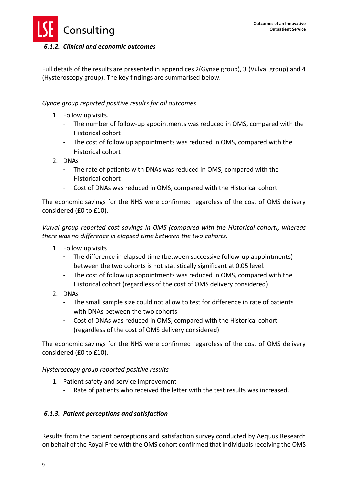

### <span id="page-11-0"></span>*6.1.2. Clinical and economic outcomes*

Full details of the results are presented in appendices 2(Gynae group), 3 (Vulval group) and 4 (Hysteroscopy group). The key findings are summarised below.

### *Gynae group reported positive results for all outcomes*

- 1. Follow up visits.
	- The number of follow-up appointments was reduced in OMS, compared with the Historical cohort
	- The cost of follow up appointments was reduced in OMS, compared with the Historical cohort
- 2. DNAs
	- The rate of patients with DNAs was reduced in OMS, compared with the Historical cohort
	- Cost of DNAs was reduced in OMS, compared with the Historical cohort

The economic savings for the NHS were confirmed regardless of the cost of OMS delivery considered (£0 to £10).

*Vulval group reported cost savings in OMS (compared with the Historical cohort), whereas there was no difference in elapsed time between the two cohorts.*

- 1. Follow up visits
	- The difference in elapsed time (between successive follow-up appointments) between the two cohorts is not statistically significant at 0.05 level.
	- The cost of follow up appointments was reduced in OMS, compared with the Historical cohort (regardless of the cost of OMS delivery considered)
- 2. DNAs
	- The small sample size could not allow to test for difference in rate of patients with DNAs between the two cohorts
	- Cost of DNAs was reduced in OMS, compared with the Historical cohort (regardless of the cost of OMS delivery considered)

The economic savings for the NHS were confirmed regardless of the cost of OMS delivery considered (£0 to £10).

### *Hysteroscopy group reported positive results*

- 1. Patient safety and service improvement
	- Rate of patients who received the letter with the test results was increased.

### <span id="page-11-1"></span>*6.1.3. Patient perceptions and satisfaction*

Results from the patient perceptions and satisfaction survey conducted by Aequus Research on behalf of the Royal Free with the OMS cohort confirmed that individuals receiving the OMS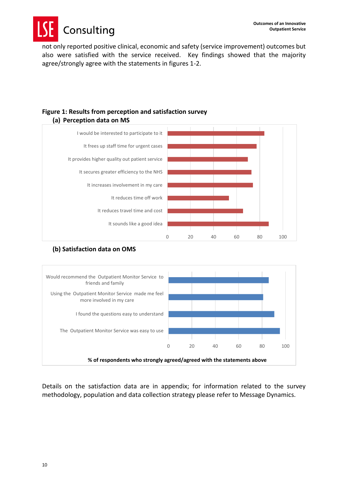Consulting

not only reported positive clinical, economic and safety (service improvement) outcomes but also were satisfied with the service received. Key findings showed that the majority agree/strongly agree with the statements in figures 1-2.



## **Figure 1: Results from perception and satisfaction survey**

### **(b) Satisfaction data on OMS**



Details on the satisfaction data are in appendix; for information related to the survey methodology, population and data collection strategy please refer to Message Dynamics.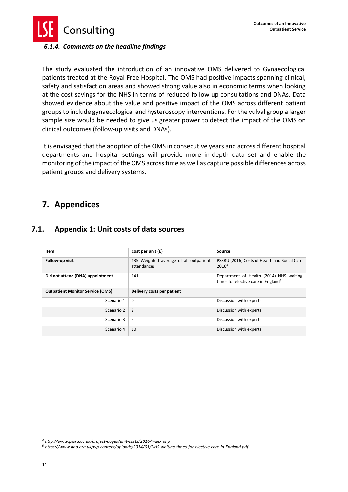

### <span id="page-13-0"></span>*6.1.4. Comments on the headline findings*

The study evaluated the introduction of an innovative OMS delivered to Gynaecological patients treated at the Royal Free Hospital. The OMS had positive impacts spanning clinical, safety and satisfaction areas and showed strong value also in economic terms when looking at the cost savings for the NHS in terms of reduced follow up consultations and DNAs. Data showed evidence about the value and positive impact of the OMS across different patient groups to include gynaecological and hysteroscopy interventions. For the vulval group a larger sample size would be needed to give us greater power to detect the impact of the OMS on clinical outcomes (follow-up visits and DNAs).

It is envisaged that the adoption of the OMS in consecutive years and across different hospital departments and hospital settings will provide more in-depth data set and enable the monitoring of the impact of the OMS across time as well as capture possible differences across patient groups and delivery systems.

### <span id="page-13-1"></span>**7. Appendices**

### <span id="page-13-2"></span>**7.1. Appendix 1: Unit costs of data sources**

| Item                                    | Cost per unit $(f)$                                   | Source                                                                                     |
|-----------------------------------------|-------------------------------------------------------|--------------------------------------------------------------------------------------------|
|                                         |                                                       |                                                                                            |
| Follow-up visit                         | 135 Weighted average of all outpatient<br>attendances | PSSRU (2016) Costs of Health and Social Care<br>2016 <sup>4</sup>                          |
| Did not attend (DNA) appointment        | 141                                                   | Department of Health (2014) NHS waiting<br>times for elective care in England <sup>5</sup> |
| <b>Outpatient Monitor Service (OMS)</b> | Delivery costs per patient                            |                                                                                            |
| Scenario 1                              | $\Omega$                                              | Discussion with experts                                                                    |
| Scenario 2                              | 2                                                     | Discussion with experts                                                                    |
| Scenario 3                              | 5                                                     | Discussion with experts                                                                    |
| Scenario 4                              | 10                                                    | Discussion with experts                                                                    |

1

*<sup>4</sup> http://www.pssru.ac.uk/project-pages/unit-costs/2016/index.php*

*<sup>5</sup> https://www.nao.org.uk/wp-content/uploads/2014/01/NHS-waiting-times-for-elective-care-in-England.pdf*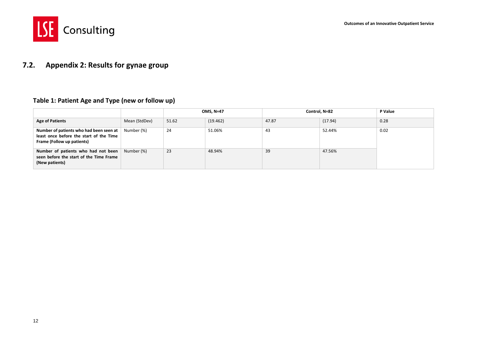

### **7.2. Appendix 2: Results for gynae group**

#### **Table 1: Patient Age and Type (new or follow up)**

<span id="page-14-0"></span>

|                                                                                                                  |               | <b>OMS, N=47</b> |          | Control, N=82 |         | P Value |
|------------------------------------------------------------------------------------------------------------------|---------------|------------------|----------|---------------|---------|---------|
| <b>Age of Patients</b>                                                                                           | Mean (StdDev) | 51.62            | (19.462) | 47.87         | (17.94) | 0.28    |
| Number of patients who had been seen at<br>least once before the start of the Time<br>Frame (Follow up patients) | Number (%)    | 24               | 51.06%   | 43            | 52.44%  | 0.02    |
| Number of patients who had not been<br>seen before the start of the Time Frame<br>(New patients)                 | Number (%)    | 23               | 48.94%   | 39            | 47.56%  |         |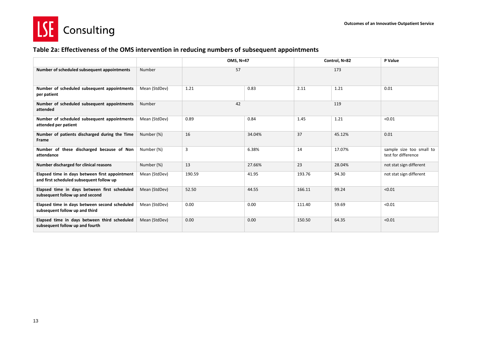



### **Table 2a: Effectiveness of the OMS intervention in reducing numbers of subsequent appointments**

|                                                                                            |               | OMS, N=47 |        | Control, N=82 |        | P Value                                         |
|--------------------------------------------------------------------------------------------|---------------|-----------|--------|---------------|--------|-------------------------------------------------|
| Number of scheduled subsequent appointments                                                | Number        | 57        |        | 173           |        |                                                 |
| Number of scheduled subsequent appointments<br>per patient                                 | Mean (StdDev) | 1.21      | 0.83   | 2.11          | 1.21   | 0.01                                            |
| Number of scheduled subsequent appointments<br>attended                                    | Number        | 42        |        | 119           |        |                                                 |
| Number of scheduled subsequent appointments<br>attended per patient                        | Mean (StdDev) | 0.89      | 0.84   | 1.45          | 1.21   | < 0.01                                          |
| Number of patients discharged during the Time<br>Frame                                     | Number (%)    | 16        | 34.04% | 37            | 45.12% | 0.01                                            |
| Number of these discharged because of Non<br>attendance                                    | Number (%)    | 3         | 6.38%  | 14            | 17.07% | sample size too small to<br>test for difference |
| Number discharged for clinical reasons                                                     | Number (%)    | 13        | 27.66% | 23            | 28.04% | not stat sign different                         |
| Elapsed time in days between first appointment<br>and first scheduled subsequent follow up | Mean (StdDev) | 190.59    | 41.95  | 193.76        | 94.30  | not stat sign different                         |
| Elapsed time in days between first scheduled<br>subsequent follow up and second            | Mean (StdDev) | 52.50     | 44.55  | 166.11        | 99.24  | < 0.01                                          |
| Elapsed time in days between second scheduled<br>subsequent follow up and third            | Mean (StdDev) | 0.00      | 0.00   | 111.40        | 59.69  | < 0.01                                          |
| Elapsed time in days between third scheduled<br>subsequent follow up and fourth            | Mean (StdDev) | 0.00      | 0.00   | 150.50        | 64.35  | < 0.01                                          |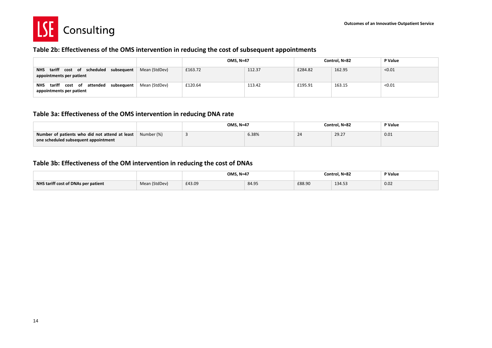

#### **Table 2b: Effectiveness of the OMS intervention in reducing the cost of subsequent appointments**

|                                                                                  |               | <b>OMS, N=47</b> |        | Control, N=82 |        | P Value |
|----------------------------------------------------------------------------------|---------------|------------------|--------|---------------|--------|---------|
| cost of scheduled subsequent<br>tariff<br><b>NHS</b><br>appointments per patient | Mean (StdDev) | £163.72          | 112.37 | £284.82       | 162.95 | < 0.01  |
| tariff<br>cost of attended subsequent<br><b>NHS</b><br>appointments per patient  | Mean (StdDev) | £120.64          | 113.42 | £195.91       | 163.15 | < 0.01  |

#### **Table 3a: Effectiveness of the OMS intervention in reducing DNA rate**

|                                                                                        |            | <b>OMS. N=47</b> |       | Control. N=82 | P Value |      |
|----------------------------------------------------------------------------------------|------------|------------------|-------|---------------|---------|------|
| Number of patients who did not attend at least<br>one scheduled subsequent appointment | Number (%) |                  | 6.38% | 24            | 29.27   | 0.01 |

### **Table 3b: Effectiveness of the OM intervention in reducing the cost of DNAs**

|                                     |               | <b>OMS, N=47</b> |       | Control. N=82 | P Value |      |
|-------------------------------------|---------------|------------------|-------|---------------|---------|------|
| NHS tariff cost of DNAs per patient | Mean (StdDev) | £43.09           | 84.95 | £88.90        | 134.53  | 0.02 |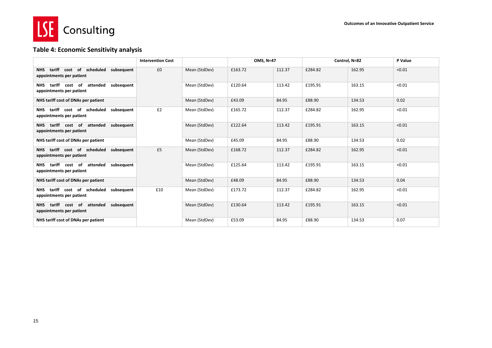

### **Table 4: Economic Sensitivity analysis**

|                                                                                    | <b>Intervention Cost</b> |               | OMS, N=47 |        |         | Control, N=82 | P Value |
|------------------------------------------------------------------------------------|--------------------------|---------------|-----------|--------|---------|---------------|---------|
| NHS tariff cost of scheduled subsequent<br>appointments per patient                | £0                       | Mean (StdDev) | £163.72   | 112.37 | £284.82 | 162.95        | < 0.01  |
| tariff cost of<br>attended<br>subsequent<br><b>NHS</b><br>appointments per patient |                          | Mean (StdDev) | £120.64   | 113.42 | £195.91 | 163.15        | < 0.01  |
| NHS tariff cost of DNAs per patient                                                |                          | Mean (StdDev) | £43.09    | 84.95  | £88.90  | 134.53        | 0.02    |
| NHS tariff cost of scheduled subsequent<br>appointments per patient                | £2                       | Mean (StdDev) | £165.72   | 112.37 | £284.82 | 162.95        | < 0.01  |
| attended subsequent<br>tariff cost of<br>NHS.<br>appointments per patient          |                          | Mean (StdDev) | £122.64   | 113.42 | £195.91 | 163.15        | < 0.01  |
| NHS tariff cost of DNAs per patient                                                |                          | Mean (StdDev) | £45.09    | 84.95  | £88.90  | 134.53        | 0.02    |
| NHS tariff cost of scheduled subsequent<br>appointments per patient                | £5                       | Mean (StdDev) | £168.72   | 112.37 | £284.82 | 162.95        | < 0.01  |
| tariff cost of attended subsequent<br><b>NHS</b><br>appointments per patient       |                          | Mean (StdDev) | £125.64   | 113.42 | £195.91 | 163.15        | < 0.01  |
| NHS tariff cost of DNAs per patient                                                |                          | Mean (StdDev) | £48.09    | 84.95  | £88.90  | 134.53        | 0.04    |
| NHS tariff cost of scheduled subsequent<br>appointments per patient                | £10                      | Mean (StdDev) | £173.72   | 112.37 | £284.82 | 162.95        | < 0.01  |
| tariff cost of attended subsequent<br>NHS.<br>appointments per patient             |                          | Mean (StdDev) | £130.64   | 113.42 | £195.91 | 163.15        | < 0.01  |
| NHS tariff cost of DNAs per patient                                                |                          | Mean (StdDev) | £53.09    | 84.95  | £88.90  | 134.53        | 0.07    |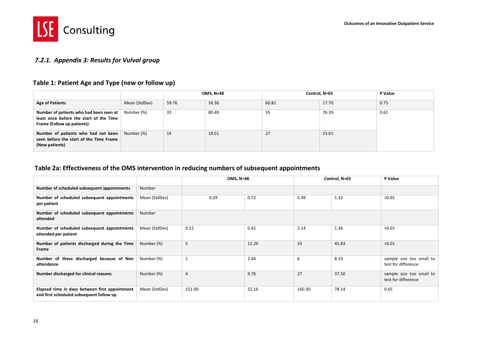

### *7.2.1. Appendix 3: Results for Vulval group*

#### **Table 1: Patient Age and Type (new or follow up)**

|                                                                                                                  |               |       | <b>OMS, N=48</b> |       | Control, N=65 |      |  |
|------------------------------------------------------------------------------------------------------------------|---------------|-------|------------------|-------|---------------|------|--|
| <b>Age of Patients</b>                                                                                           | Mean (StdDev) | 59.76 | 16.36            | 60.81 | 17.70         | 0.75 |  |
| Number of patients who had been seen at<br>least once before the start of the Time<br>Frame (Follow up patients) | Number (%)    | 33    | 80.49            | -55   | 76.39         | 0.61 |  |
| Number of patients who had not been<br>seen before the start of the Time Frame<br>(New patients)                 | Number (%)    | 14    | 19.51            | 27    | 23.61         |      |  |

### **Table 2a: Effectiveness of the OMS intervention in reducing numbers of subsequent appointments**

<span id="page-18-0"></span>

|                                                                                            |               | <b>OMS, N=48</b> |       |        | Control, N=65 | P Value                                         |
|--------------------------------------------------------------------------------------------|---------------|------------------|-------|--------|---------------|-------------------------------------------------|
| Number of scheduled subsequent appointments                                                | Number        |                  |       |        |               |                                                 |
| Number of scheduled subsequent appointments<br>per patient                                 | Mean (StdDev) | 0.29             | 0.72  | 2.49   | 1.32          | < 0.01                                          |
| Number of scheduled subsequent appointments<br>attended                                    | Number        |                  |       |        |               |                                                 |
| Number of scheduled subsequent appointments<br>attended per patient                        | Mean (StdDev) | 0.22             | 0.42  | 2.14   | 1.36          | < 0.01                                          |
| Number of patients discharged during the Time<br>Frame                                     | Number (%)    | 5                | 12.20 | 33     | 45.83         | < 0.01                                          |
| Number of these discharged because of Non<br>attendance                                    | Number (%)    | 1                | 2.44  | 6      | 8.33          | sample size too small to<br>test for difference |
| Number discharged for clinical reasons                                                     | Number (%)    | $\overline{4}$   | 9.76  | 27     | 37.50         | sample size too small to<br>test for difference |
| Elapsed time in days between first appointment<br>and first scheduled subsequent follow up | Mean (StdDev) | 151.00           | 52.16 | 160.30 | 78.14         | 0.65                                            |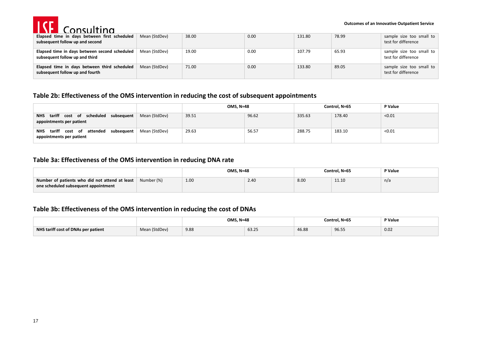

| Elapsed time in days between first scheduled<br>subsequent follow up and second | Mean (StdDev) | 38.00 | 0.00 | 131.80 | 78.99 | sample size too small to<br>test for difference |
|---------------------------------------------------------------------------------|---------------|-------|------|--------|-------|-------------------------------------------------|
| Elapsed time in days between second scheduled<br>subsequent follow up and third | Mean (StdDev) | 19.00 | 0.00 | 107.79 | 65.93 | sample size too small to<br>test for difference |
| Elapsed time in days between third scheduled<br>subsequent follow up and fourth | Mean (StdDev) | 71.00 | 0.00 | 133.80 | 89.05 | sample size too small to<br>test for difference |

#### **Table 2b: Effectiveness of the OMS intervention in reducing the cost of subsequent appointments**

|                                                                                  |               | <b>OMS, N=48</b> |       | Control, N=65 |        | P Value |
|----------------------------------------------------------------------------------|---------------|------------------|-------|---------------|--------|---------|
| cost of scheduled subsequent<br>tariff<br><b>NHS</b><br>appointments per patient | Mean (StdDev) | 39.51            | 96.62 | 335.63        | 178.40 | < 0.01  |
| tariff<br>cost of attended subsequent<br>NHS<br>appointments per patient         | Mean (StdDev) | 29.63            | 56.57 | 288.75        | 183.10 | < 0.01  |

#### **Table 3a: Effectiveness of the OMS intervention in reducing DNA rate**

|                                                                                        |            | <b>OMS, N=48</b> |      | Control. N=65 | P Value |     |
|----------------------------------------------------------------------------------------|------------|------------------|------|---------------|---------|-----|
| Number of patients who did not attend at least<br>one scheduled subsequent appointment | Number (%) | 1.00             | 2.40 | 8.00          | 11.10   | n/a |
|                                                                                        |            |                  |      |               |         |     |

### **Table 3b: Effectiveness of the OMS intervention in reducing the cost of DNAs**

|                                     |               | <b>OMS. N=48</b> |       |       | Control. N=65 | P Value |
|-------------------------------------|---------------|------------------|-------|-------|---------------|---------|
| NHS tariff cost of DNAs per patient | Mean (StdDev) | 9.88             | 63.25 | 46.88 | 96.5          | 0.02    |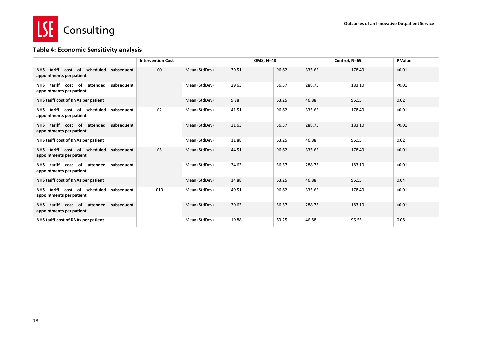

### **Table 4: Economic Sensitivity analysis**

|                                                                                    | <b>Intervention Cost</b> |               | <b>OMS. N=48</b> |       |        | Control, N=65 | P Value |
|------------------------------------------------------------------------------------|--------------------------|---------------|------------------|-------|--------|---------------|---------|
| NHS tariff cost of scheduled subsequent<br>appointments per patient                | £0                       | Mean (StdDev) | 39.51            | 96.62 | 335.63 | 178.40        | < 0.01  |
| tariff<br>cost of<br>attended subsequent<br><b>NHS</b><br>appointments per patient |                          | Mean (StdDev) | 29.63            | 56.57 | 288.75 | 183.10        | < 0.01  |
| NHS tariff cost of DNAs per patient                                                |                          | Mean (StdDev) | 9.88             | 63.25 | 46.88  | 96.55         | 0.02    |
| NHS tariff cost of scheduled<br>subsequent<br>appointments per patient             | £2                       | Mean (StdDev) | 41.51            | 96.62 | 335.63 | 178.40        | < 0.01  |
| tariff cost of attended subsequent<br>NHS.<br>appointments per patient             |                          | Mean (StdDev) | 31.63            | 56.57 | 288.75 | 183.10        | < 0.01  |
| NHS tariff cost of DNAs per patient                                                |                          | Mean (StdDev) | 11.88            | 63.25 | 46.88  | 96.55         | 0.02    |
| NHS tariff cost of scheduled subsequent<br>appointments per patient                | £5                       | Mean (StdDev) | 44.51            | 96.62 | 335.63 | 178.40        | < 0.01  |
| tariff cost of attended subsequent<br><b>NHS</b><br>appointments per patient       |                          | Mean (StdDev) | 34.63            | 56.57 | 288.75 | 183.10        | < 0.01  |
| NHS tariff cost of DNAs per patient                                                |                          | Mean (StdDev) | 14.88            | 63.25 | 46.88  | 96.55         | 0.04    |
| tariff cost of scheduled subsequent<br><b>NHS</b><br>appointments per patient      | £10                      | Mean (StdDev) | 49.51            | 96.62 | 335.63 | 178.40        | < 0.01  |
| attended subsequent<br>tariff cost of<br><b>NHS</b><br>appointments per patient    |                          | Mean (StdDev) | 39.63            | 56.57 | 288.75 | 183.10        | < 0.01  |
| NHS tariff cost of DNAs per patient                                                |                          | Mean (StdDev) | 19.88            | 63.25 | 46.88  | 96.55         | 0.08    |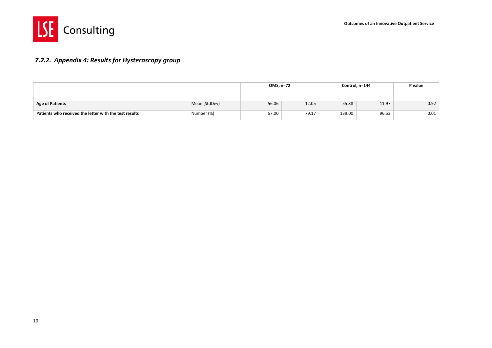



### *7.2.2. Appendix 4: Results for Hysteroscopy group*

<span id="page-21-0"></span>

|                                                        |               | OMS, n=72 |       | Control, n=144 | P value |      |
|--------------------------------------------------------|---------------|-----------|-------|----------------|---------|------|
|                                                        |               |           |       |                |         |      |
| <b>Age of Patients</b>                                 | Mean (StdDev) | 56.06     | 12.05 | 55.88          | 11.97   | 0.92 |
| Patients who received the letter with the test results | Number (%)    | 57.00     | 79.17 | 139.00         | 96.53   | 0.01 |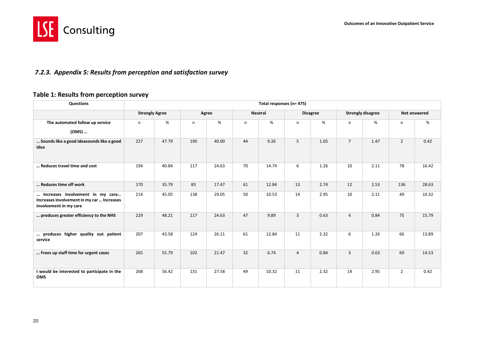

### *7.2.3. Appendix 5: Results from perception and satisfaction survey*

### **Table 1: Results from perception survey**

<span id="page-22-0"></span>

| <b>Questions</b>                                                                                         |                       |       |     |       |    | Total responses (n= 475) |                |                 |                |                          |                |              |
|----------------------------------------------------------------------------------------------------------|-----------------------|-------|-----|-------|----|--------------------------|----------------|-----------------|----------------|--------------------------|----------------|--------------|
|                                                                                                          | <b>Strongly Agree</b> |       |     | Agree |    | <b>Neutral</b>           |                | <b>Disagree</b> |                | <b>Strongly disagree</b> |                | Not answered |
| The automated follow up service                                                                          | $\mathsf{n}$          | %     | n   | %     | n  | %                        | n              | %               | n              | %                        | n              | %            |
| (OMS)                                                                                                    |                       |       |     |       |    |                          |                |                 |                |                          |                |              |
| Sounds like a good ideasounds like a good<br>idea                                                        | 227                   | 47.79 | 190 | 40.00 | 44 | 9.26                     | 5              | 1.05            | $\overline{7}$ | 1.47                     | $\overline{2}$ | 0.42         |
| Reduces travel time and cost                                                                             | 194                   | 40.84 | 117 | 24.63 | 70 | 14.74                    | 6              | 1.26            | 10             | 2.11                     | 78             | 16.42        |
| Reduces time off work                                                                                    | 170                   | 35.79 | 83  | 17.47 | 61 | 12.84                    | 13             | 2.74            | 12             | 2.53                     | 136            | 28.63        |
| Increases involvement in my care<br>Increases involvement in my car  Increases<br>involvement in my care | 214                   | 45.05 | 138 | 29.05 | 50 | 10.53                    | 14             | 2.95            | 10             | 2.11                     | 49             | 10.32        |
| produces greater efficiency to the NHS                                                                   | 229                   | 48.21 | 117 | 24.63 | 47 | 9.89                     | $\overline{3}$ | 0.63            | $\overline{4}$ | 0.84                     | 75             | 15.79        |
| produces higher quality out patient<br>service                                                           | 207                   | 43.58 | 124 | 26.11 | 61 | 12.84                    | 11             | 2.32            | 6              | 1.26                     | 66             | 13.89        |
| Frees up staff time for urgent cases                                                                     | 265                   | 55.79 | 102 | 21.47 | 32 | 6.74                     | $\overline{4}$ | 0.84            | $\overline{3}$ | 0.63                     | 69             | 14.53        |
| I would be interested to participate in the<br>OMS                                                       | 268                   | 56.42 | 131 | 27.58 | 49 | 10.32                    | 11             | 2.32            | 14             | 2.95                     | $\overline{2}$ | 0.42         |